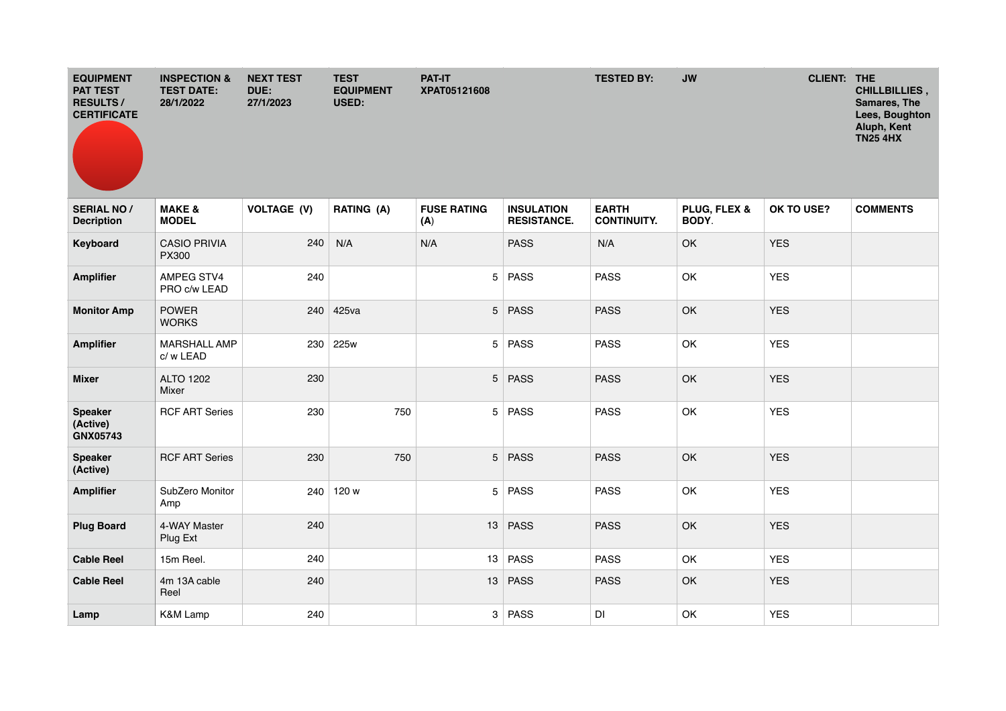| <b>EQUIPMENT</b><br><b>PAT TEST</b><br><b>RESULTS/</b><br><b>CERTIFICATE</b> | <b>INSPECTION &amp;</b><br><b>TEST DATE:</b><br>28/1/2022 | <b>NEXT TEST</b><br>DUE:<br>27/1/2023 | <b>TEST</b><br><b>EQUIPMENT</b><br>USED: | <b>PAT-IT</b><br>XPAT05121608 |                                         | <b>TESTED BY:</b>                  | <b>JW</b>             | <b>CLIENT: THE</b> | CHILLBILLIES,<br>Samares, The<br>Lees, Boughton<br>Aluph, Kent<br><b>TN25 4HX</b> |
|------------------------------------------------------------------------------|-----------------------------------------------------------|---------------------------------------|------------------------------------------|-------------------------------|-----------------------------------------|------------------------------------|-----------------------|--------------------|-----------------------------------------------------------------------------------|
| <b>SERIAL NO/</b><br><b>Decription</b>                                       | <b>MAKE &amp;</b><br><b>MODEL</b>                         | <b>VOLTAGE (V)</b>                    | RATING (A)                               | <b>FUSE RATING</b><br>(A)     | <b>INSULATION</b><br><b>RESISTANCE.</b> | <b>EARTH</b><br><b>CONTINUITY.</b> | PLUG, FLEX &<br>BODY. | OK TO USE?         | <b>COMMENTS</b>                                                                   |
| Keyboard                                                                     | <b>CASIO PRIVIA</b><br><b>PX300</b>                       | 240                                   | N/A                                      | N/A                           | <b>PASS</b>                             | N/A                                | OK                    | <b>YES</b>         |                                                                                   |
| <b>Amplifier</b>                                                             | AMPEG STV4<br>PRO c/w LEAD                                | 240                                   |                                          |                               | 5 PASS                                  | <b>PASS</b>                        | OK                    | <b>YES</b>         |                                                                                   |
| <b>Monitor Amp</b>                                                           | <b>POWER</b><br><b>WORKS</b>                              |                                       | 240 425va                                |                               | 5 PASS                                  | <b>PASS</b>                        | OK                    | <b>YES</b>         |                                                                                   |
| <b>Amplifier</b>                                                             | <b>MARSHALL AMP</b><br>c/w LEAD                           | 230                                   | 225w                                     |                               | 5 PASS                                  | <b>PASS</b>                        | OK                    | <b>YES</b>         |                                                                                   |
| <b>Mixer</b>                                                                 | ALTO 1202<br>Mixer                                        | 230                                   |                                          |                               | 5 PASS                                  | <b>PASS</b>                        | OK                    | <b>YES</b>         |                                                                                   |
| <b>Speaker</b><br>(Active)<br>GNX05743                                       | <b>RCF ART Series</b>                                     | 230                                   | 750                                      | 5                             | <b>PASS</b>                             | <b>PASS</b>                        | OK                    | <b>YES</b>         |                                                                                   |
| <b>Speaker</b><br>(Active)                                                   | <b>RCF ART Series</b>                                     | 230                                   | 750                                      |                               | 5 PASS                                  | <b>PASS</b>                        | OK                    | <b>YES</b>         |                                                                                   |
| <b>Amplifier</b>                                                             | SubZero Monitor<br>Amp                                    | 240                                   | 120 w                                    |                               | 5 PASS                                  | <b>PASS</b>                        | OK                    | <b>YES</b>         |                                                                                   |
| <b>Plug Board</b>                                                            | 4-WAY Master<br>Plug Ext                                  | 240                                   |                                          |                               | 13 PASS                                 | <b>PASS</b>                        | OK                    | <b>YES</b>         |                                                                                   |
| <b>Cable Reel</b>                                                            | 15m Reel.                                                 | 240                                   |                                          | 13                            | <b>PASS</b>                             | <b>PASS</b>                        | OK                    | <b>YES</b>         |                                                                                   |
| <b>Cable Reel</b>                                                            | 4m 13A cable<br>Reel                                      | 240                                   |                                          |                               | 13 PASS                                 | <b>PASS</b>                        | OK                    | <b>YES</b>         |                                                                                   |
| Lamp                                                                         | <b>K&amp;M Lamp</b>                                       | 240                                   |                                          |                               | 3 PASS                                  | DI                                 | OK                    | <b>YES</b>         |                                                                                   |